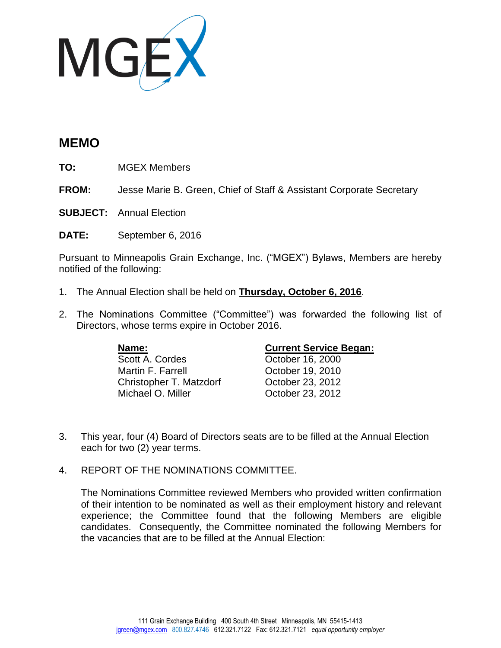

## **MEMO**

**TO:** MGEX Members

**FROM:** Jesse Marie B. Green, Chief of Staff & Assistant Corporate Secretary

**SUBJECT:** Annual Election

**DATE:** September 6, 2016

Pursuant to Minneapolis Grain Exchange, Inc. ("MGEX") Bylaws, Members are hereby notified of the following:

- 1. The Annual Election shall be held on **Thursday, October 6, 2016**.
- 2. The Nominations Committee ("Committee") was forwarded the following list of Directors, whose terms expire in October 2016.

Scott A. Cordes Corp. Corp. 2000 Martin F. Farrell **Carroll** Cotober 19, 2010 Christopher T. Matzdorf Cortober 23, 2012<br>Michael O. Miller Cortober 23, 2012

## **Name: Current Service Began:**

October 23, 2012

- 3. This year, four (4) Board of Directors seats are to be filled at the Annual Election each for two (2) year terms.
- 4. REPORT OF THE NOMINATIONS COMMITTEE.

The Nominations Committee reviewed Members who provided written confirmation of their intention to be nominated as well as their employment history and relevant experience; the Committee found that the following Members are eligible candidates. Consequently, the Committee nominated the following Members for the vacancies that are to be filled at the Annual Election: